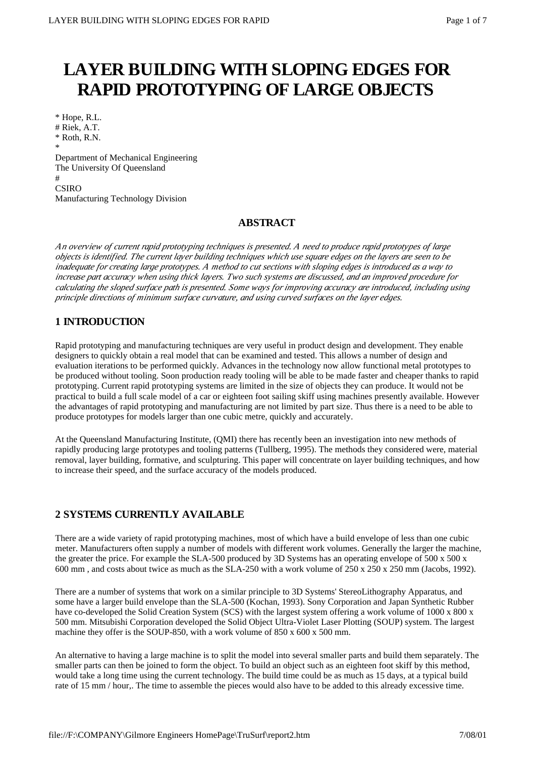# **LAYER BUILDING WITH SLOPING EDGES FOR RAPID PROTOTYPING OF LARGE OBJECTS**

\* Hope, R.L. # Riek, A.T. \* Roth, R.N. \* Department of Mechanical Engineering The University Of Queensland # CSIRO Manufacturing Technology Division

# **ABSTRACT**

*An overview of current rapid prototyping techniques is presented. A need to produce rapid prototypes of large objects is identified. The current layer building techniques which use square edges on the layers are seen to be inadequate for creating large prototypes. A method to cut sections with sloping edges is introduced as a way to increase part accuracy when using thick layers. Two such systems are discussed, and an improved procedure for calculating the sloped surface path is presented. Some ways for improving accuracy are introduced, including using principle directions of minimum surface curvature, and using curved surfaces on the layer edges.*

# **1 INTRODUCTION**

Rapid prototyping and manufacturing techniques are very useful in product design and development. They enable designers to quickly obtain a real model that can be examined and tested. This allows a number of design and evaluation iterations to be performed quickly. Advances in the technology now allow functional metal prototypes to be produced without tooling. Soon production ready tooling will be able to be made faster and cheaper thanks to rapid prototyping. Current rapid prototyping systems are limited in the size of objects they can produce. It would not be practical to build a full scale model of a car or eighteen foot sailing skiff using machines presently available. However the advantages of rapid prototyping and manufacturing are not limited by part size. Thus there is a need to be able to produce prototypes for models larger than one cubic metre, quickly and accurately.

At the Queensland Manufacturing Institute, (QMI) there has recently been an investigation into new methods of rapidly producing large prototypes and tooling patterns (Tullberg, 1995). The methods they considered were, material removal, layer building, formative, and sculpturing. This paper will concentrate on layer building techniques, and how to increase their speed, and the surface accuracy of the models produced.

# **2 SYSTEMS CURRENTLY AVAILABLE**

There are a wide variety of rapid prototyping machines, most of which have a build envelope of less than one cubic meter. Manufacturers often supply a number of models with different work volumes. Generally the larger the machine, the greater the price. For example the SLA-500 produced by 3D Systems has an operating envelope of 500 x 500 x 600 mm , and costs about twice as much as the SLA-250 with a work volume of 250 x 250 x 250 mm (Jacobs, 1992).

There are a number of systems that work on a similar principle to 3D Systems' StereoLithography Apparatus, and some have a larger build envelope than the SLA-500 (Kochan, 1993). Sony Corporation and Japan Synthetic Rubber have co-developed the Solid Creation System (SCS) with the largest system offering a work volume of 1000 x 800 x 500 mm. Mitsubishi Corporation developed the Solid Object Ultra-Violet Laser Plotting (SOUP) system. The largest machine they offer is the SOUP-850, with a work volume of 850 x 600 x 500 mm.

An alternative to having a large machine is to split the model into several smaller parts and build them separately. The smaller parts can then be joined to form the object. To build an object such as an eighteen foot skiff by this method, would take a long time using the current technology. The build time could be as much as 15 days, at a typical build rate of 15 mm / hour,. The time to assemble the pieces would also have to be added to this already excessive time.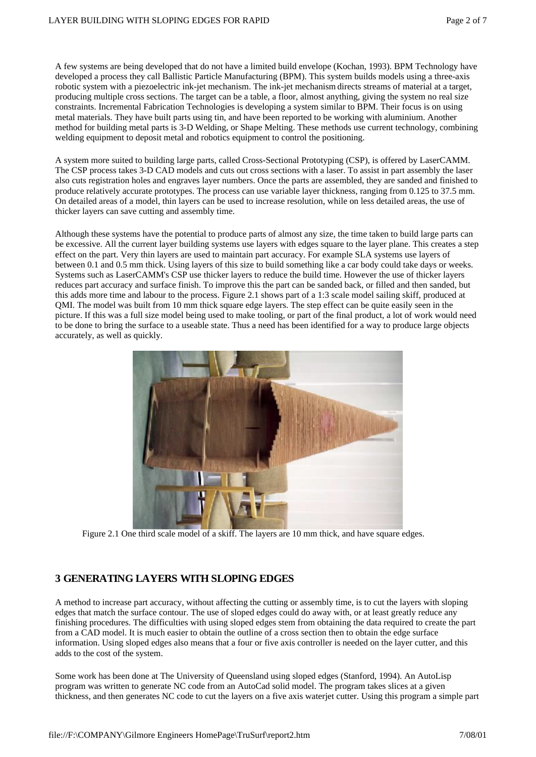A few systems are being developed that do not have a limited build envelope (Kochan, 1993). BPM Technology have developed a process they call Ballistic Particle Manufacturing (BPM). This system builds models using a three-axis robotic system with a piezoelectric ink-jet mechanism. The ink-jet mechanism directs streams of material at a target, producing multiple cross sections. The target can be a table, a floor, almost anything, giving the system no real size constraints. Incremental Fabrication Technologies is developing a system similar to BPM. Their focus is on using metal materials. They have built parts using tin, and have been reported to be working with aluminium. Another method for building metal parts is 3-D Welding, or Shape Melting. These methods use current technology, combining welding equipment to deposit metal and robotics equipment to control the positioning.

A system more suited to building large parts, called Cross-Sectional Prototyping (CSP), is offered by LaserCAMM. The CSP process takes 3-D CAD models and cuts out cross sections with a laser. To assist in part assembly the laser also cuts registration holes and engraves layer numbers. Once the parts are assembled, they are sanded and finished to produce relatively accurate prototypes. The process can use variable layer thickness, ranging from 0.125 to 37.5 mm. On detailed areas of a model, thin layers can be used to increase resolution, while on less detailed areas, the use of thicker layers can save cutting and assembly time.

Although these systems have the potential to produce parts of almost any size, the time taken to build large parts can be excessive. All the current layer building systems use layers with edges square to the layer plane. This creates a step effect on the part. Very thin layers are used to maintain part accuracy. For example SLA systems use layers of between 0.1 and 0.5 mm thick. Using layers of this size to build something like a car body could take days or weeks. Systems such as LaserCAMM's CSP use thicker layers to reduce the build time. However the use of thicker layers reduces part accuracy and surface finish. To improve this the part can be sanded back, or filled and then sanded, but this adds more time and labour to the process. Figure 2.1 shows part of a 1:3 scale model sailing skiff, produced at QMI. The model was built from 10 mm thick square edge layers. The step effect can be quite easily seen in the picture. If this was a full size model being used to make tooling, or part of the final product, a lot of work would need to be done to bring the surface to a useable state. Thus a need has been identified for a way to produce large objects accurately, as well as quickly.



Figure 2.1 One third scale model of a skiff. The layers are 10 mm thick, and have square edges.

# **3 GENERATING LAYERS WITH SLOPING EDGES**

A method to increase part accuracy, without affecting the cutting or assembly time, is to cut the layers with sloping edges that match the surface contour. The use of sloped edges could do away with, or at least greatly reduce any finishing procedures. The difficulties with using sloped edges stem from obtaining the data required to create the part from a CAD model. It is much easier to obtain the outline of a cross section then to obtain the edge surface information. Using sloped edges also means that a four or five axis controller is needed on the layer cutter, and this adds to the cost of the system.

Some work has been done at The University of Queensland using sloped edges (Stanford, 1994). An AutoLisp program was written to generate NC code from an AutoCad solid model. The program takes slices at a given thickness, and then generates NC code to cut the layers on a five axis waterjet cutter. Using this program a simple part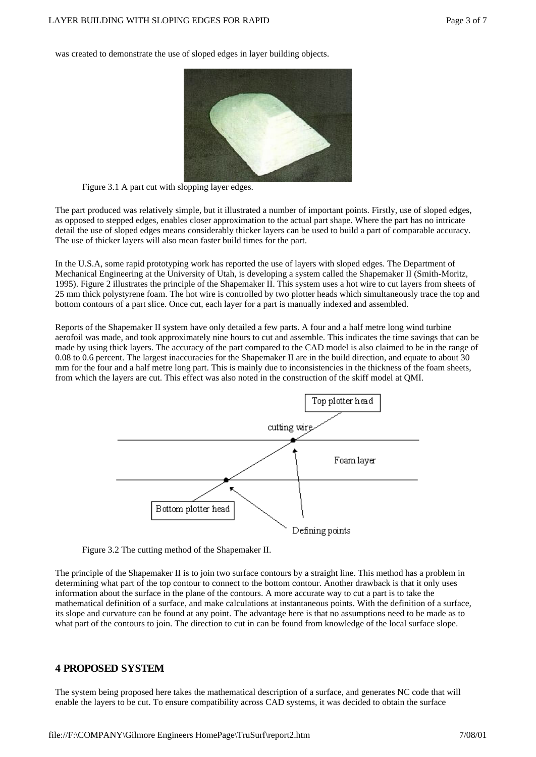was created to demonstrate the use of sloped edges in layer building objects.



Figure 3.1 A part cut with slopping layer edges.

The part produced was relatively simple, but it illustrated a number of important points. Firstly, use of sloped edges, as opposed to stepped edges, enables closer approximation to the actual part shape. Where the part has no intricate detail the use of sloped edges means considerably thicker layers can be used to build a part of comparable accuracy. The use of thicker layers will also mean faster build times for the part.

In the U.S.A, some rapid prototyping work has reported the use of layers with sloped edges. The Department of Mechanical Engineering at the University of Utah, is developing a system called the Shapemaker II (Smith-Moritz, 1995). Figure 2 illustrates the principle of the Shapemaker II. This system uses a hot wire to cut layers from sheets of 25 mm thick polystyrene foam. The hot wire is controlled by two plotter heads which simultaneously trace the top and bottom contours of a part slice. Once cut, each layer for a part is manually indexed and assembled.

Reports of the Shapemaker II system have only detailed a few parts. A four and a half metre long wind turbine aerofoil was made, and took approximately nine hours to cut and assemble. This indicates the time savings that can be made by using thick layers. The accuracy of the part compared to the CAD model is also claimed to be in the range of 0.08 to 0.6 percent. The largest inaccuracies for the Shapemaker II are in the build direction, and equate to about 30 mm for the four and a half metre long part. This is mainly due to inconsistencies in the thickness of the foam sheets, from which the layers are cut. This effect was also noted in the construction of the skiff model at QMI.





The principle of the Shapemaker II is to join two surface contours by a straight line. This method has a problem in determining what part of the top contour to connect to the bottom contour. Another drawback is that it only uses information about the surface in the plane of the contours. A more accurate way to cut a part is to take the mathematical definition of a surface, and make calculations at instantaneous points. With the definition of a surface, its slope and curvature can be found at any point. The advantage here is that no assumptions need to be made as to what part of the contours to join. The direction to cut in can be found from knowledge of the local surface slope.

## **4 PROPOSED SYSTEM**

The system being proposed here takes the mathematical description of a surface, and generates NC code that will enable the layers to be cut. To ensure compatibility across CAD systems, it was decided to obtain the surface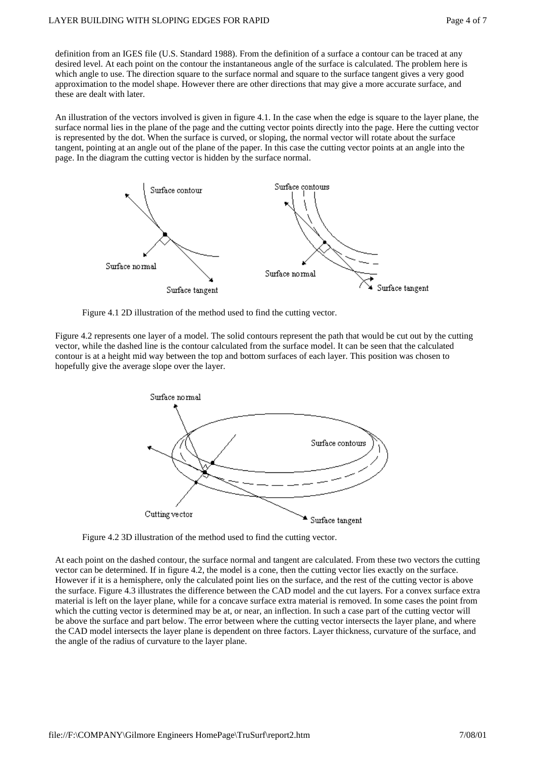definition from an IGES file (U.S. Standard 1988). From the definition of a surface a contour can be traced at any desired level. At each point on the contour the instantaneous angle of the surface is calculated. The problem here is which angle to use. The direction square to the surface normal and square to the surface tangent gives a very good approximation to the model shape. However there are other directions that may give a more accurate surface, and these are dealt with later.

An illustration of the vectors involved is given in figure 4.1. In the case when the edge is square to the layer plane, the surface normal lies in the plane of the page and the cutting vector points directly into the page. Here the cutting vector is represented by the dot. When the surface is curved, or sloping, the normal vector will rotate about the surface tangent, pointing at an angle out of the plane of the paper. In this case the cutting vector points at an angle into the page. In the diagram the cutting vector is hidden by the surface normal.



Figure 4.1 2D illustration of the method used to find the cutting vector.

Figure 4.2 represents one layer of a model. The solid contours represent the path that would be cut out by the cutting vector, while the dashed line is the contour calculated from the surface model. It can be seen that the calculated contour is at a height mid way between the top and bottom surfaces of each layer. This position was chosen to hopefully give the average slope over the layer.



Figure 4.2 3D illustration of the method used to find the cutting vector.

At each point on the dashed contour, the surface normal and tangent are calculated. From these two vectors the cutting vector can be determined. If in figure 4.2, the model is a cone, then the cutting vector lies exactly on the surface. However if it is a hemisphere, only the calculated point lies on the surface, and the rest of the cutting vector is above the surface. Figure 4.3 illustrates the difference between the CAD model and the cut layers. For a convex surface extra material is left on the layer plane, while for a concave surface extra material is removed. In some cases the point from which the cutting vector is determined may be at, or near, an inflection. In such a case part of the cutting vector will be above the surface and part below. The error between where the cutting vector intersects the layer plane, and where the CAD model intersects the layer plane is dependent on three factors. Layer thickness, curvature of the surface, and the angle of the radius of curvature to the layer plane.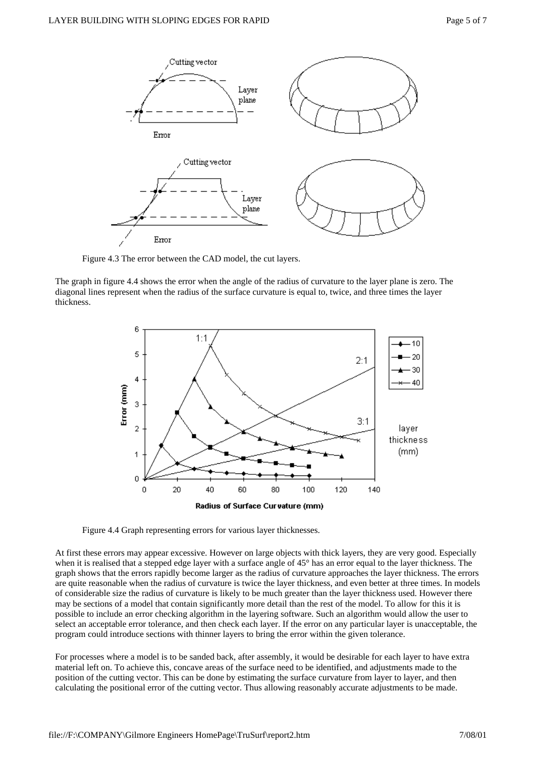

Figure 4.3 The error between the CAD model, the cut layers.

The graph in figure 4.4 shows the error when the angle of the radius of curvature to the layer plane is zero. The diagonal lines represent when the radius of the surface curvature is equal to, twice, and three times the layer thickness.



Figure 4.4 Graph representing errors for various layer thicknesses.

At first these errors may appear excessive. However on large objects with thick layers, they are very good. Especially when it is realised that a stepped edge layer with a surface angle of 45° has an error equal to the layer thickness. The graph shows that the errors rapidly become larger as the radius of curvature approaches the layer thickness. The errors are quite reasonable when the radius of curvature is twice the layer thickness, and even better at three times. In models of considerable size the radius of curvature is likely to be much greater than the layer thickness used. However there may be sections of a model that contain significantly more detail than the rest of the model. To allow for this it is possible to include an error checking algorithm in the layering software. Such an algorithm would allow the user to select an acceptable error tolerance, and then check each layer. If the error on any particular layer is unacceptable, the program could introduce sections with thinner layers to bring the error within the given tolerance.

For processes where a model is to be sanded back, after assembly, it would be desirable for each layer to have extra material left on. To achieve this, concave areas of the surface need to be identified, and adjustments made to the position of the cutting vector. This can be done by estimating the surface curvature from layer to layer, and then calculating the positional error of the cutting vector. Thus allowing reasonably accurate adjustments to be made.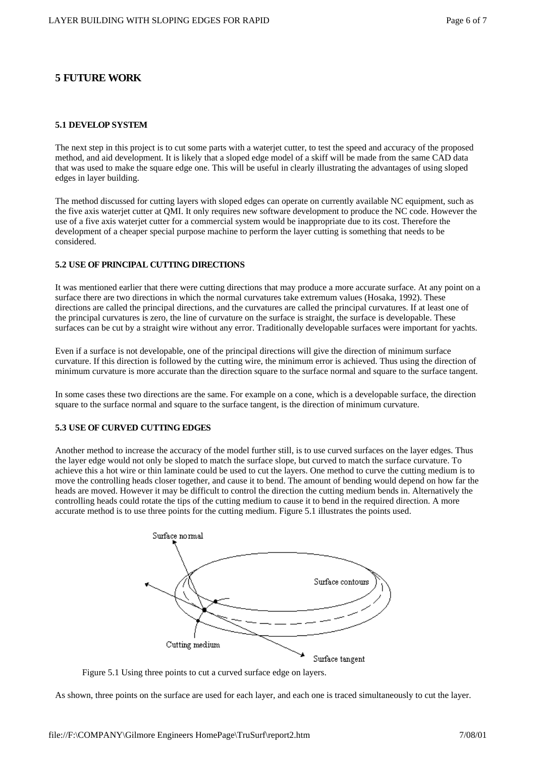# **5 FUTURE WORK**

#### **5.1 DEVELOP SYSTEM**

The next step in this project is to cut some parts with a waterjet cutter, to test the speed and accuracy of the proposed method, and aid development. It is likely that a sloped edge model of a skiff will be made from the same CAD data that was used to make the square edge one. This will be useful in clearly illustrating the advantages of using sloped edges in layer building.

The method discussed for cutting layers with sloped edges can operate on currently available NC equipment, such as the five axis waterjet cutter at QMI. It only requires new software development to produce the NC code. However the use of a five axis waterjet cutter for a commercial system would be inappropriate due to its cost. Therefore the development of a cheaper special purpose machine to perform the layer cutting is something that needs to be considered.

### **5.2 USE OF PRINCIPAL CUTTING DIRECTIONS**

It was mentioned earlier that there were cutting directions that may produce a more accurate surface. At any point on a surface there are two directions in which the normal curvatures take extremum values (Hosaka, 1992). These directions are called the principal directions, and the curvatures are called the principal curvatures. If at least one of the principal curvatures is zero, the line of curvature on the surface is straight, the surface is developable. These surfaces can be cut by a straight wire without any error. Traditionally developable surfaces were important for yachts.

Even if a surface is not developable, one of the principal directions will give the direction of minimum surface curvature. If this direction is followed by the cutting wire, the minimum error is achieved. Thus using the direction of minimum curvature is more accurate than the direction square to the surface normal and square to the surface tangent.

In some cases these two directions are the same. For example on a cone, which is a developable surface, the direction square to the surface normal and square to the surface tangent, is the direction of minimum curvature.

## **5.3 USE OF CURVED CUTTING EDGES**

Another method to increase the accuracy of the model further still, is to use curved surfaces on the layer edges. Thus the layer edge would not only be sloped to match the surface slope, but curved to match the surface curvature. To achieve this a hot wire or thin laminate could be used to cut the layers. One method to curve the cutting medium is to move the controlling heads closer together, and cause it to bend. The amount of bending would depend on how far the heads are moved. However it may be difficult to control the direction the cutting medium bends in. Alternatively the controlling heads could rotate the tips of the cutting medium to cause it to bend in the required direction. A more accurate method is to use three points for the cutting medium. Figure 5.1 illustrates the points used.



Figure 5.1 Using three points to cut a curved surface edge on layers.

As shown, three points on the surface are used for each layer, and each one is traced simultaneously to cut the layer.